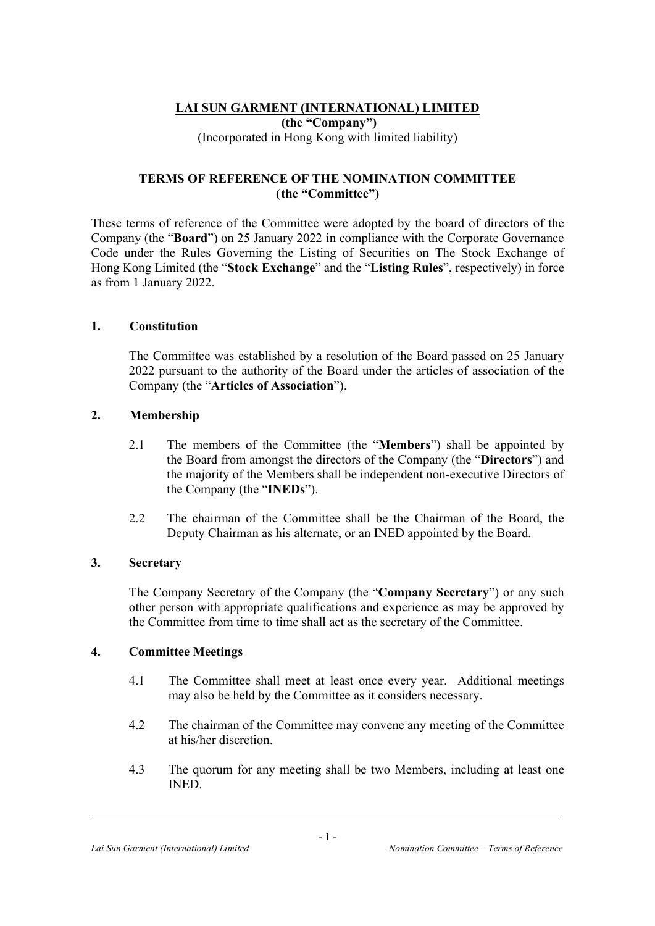# LAI SUN GARMENT (INTERNATIONAL) LIMITED (the "Company") (Incorporated in Hong Kong with limited liability)

### TERMS OF REFERENCE OF THE NOMINATION COMMITTEE (the "Committee")

These terms of reference of the Committee were adopted by the board of directors of the Company (the "Board") on 25 January 2022 in compliance with the Corporate Governance Code under the Rules Governing the Listing of Securities on The Stock Exchange of Hong Kong Limited (the "Stock Exchange" and the "Listing Rules", respectively) in force as from 1 January 2022.

### 1. Constitution

The Committee was established by a resolution of the Board passed on 25 January 2022 pursuant to the authority of the Board under the articles of association of the Company (the "Articles of Association").

# 2. Membership

- 2.1 The members of the Committee (the "Members") shall be appointed by the Board from amongst the directors of the Company (the "Directors") and the majority of the Members shall be independent non-executive Directors of the Company (the "INEDs").
- 2.2 The chairman of the Committee shall be the Chairman of the Board, the Deputy Chairman as his alternate, or an INED appointed by the Board.

# 3. Secretary

The Company Secretary of the Company (the "Company Secretary") or any such other person with appropriate qualifications and experience as may be approved by the Committee from time to time shall act as the secretary of the Committee.

# 4. Committee Meetings

- 4.1 The Committee shall meet at least once every year. Additional meetings may also be held by the Committee as it considers necessary.
- 4.2 The chairman of the Committee may convene any meeting of the Committee at his/her discretion.
- 4.3 The quorum for any meeting shall be two Members, including at least one INED.

 $\overline{a}$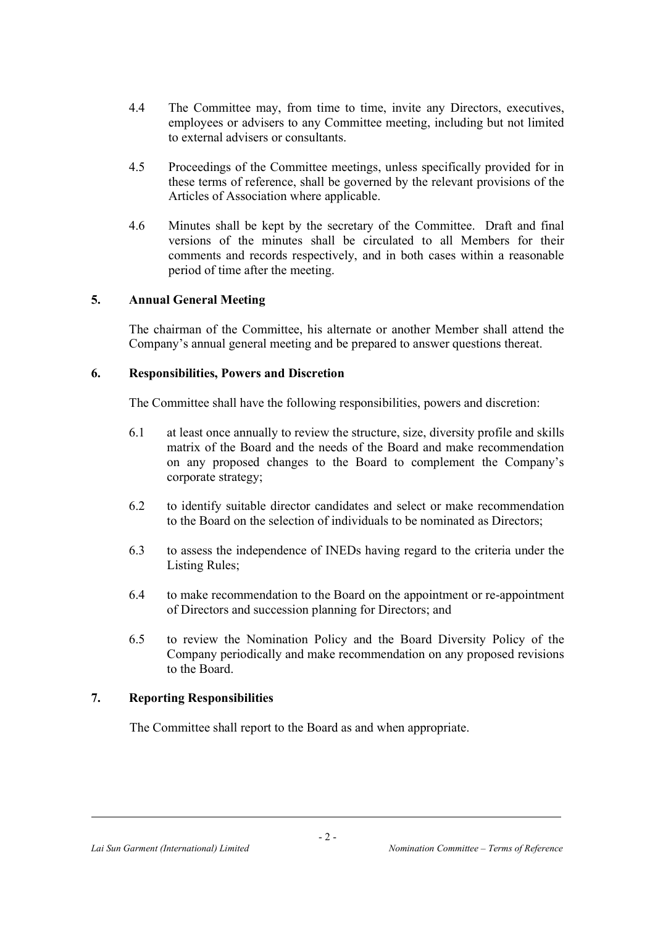- 4.4 The Committee may, from time to time, invite any Directors, executives, employees or advisers to any Committee meeting, including but not limited to external advisers or consultants.
- 4.5 Proceedings of the Committee meetings, unless specifically provided for in these terms of reference, shall be governed by the relevant provisions of the Articles of Association where applicable.
- 4.6 Minutes shall be kept by the secretary of the Committee. Draft and final versions of the minutes shall be circulated to all Members for their comments and records respectively, and in both cases within a reasonable period of time after the meeting.

### 5. Annual General Meeting

The chairman of the Committee, his alternate or another Member shall attend the Company's annual general meeting and be prepared to answer questions thereat.

### 6. Responsibilities, Powers and Discretion

The Committee shall have the following responsibilities, powers and discretion:

- 6.1 at least once annually to review the structure, size, diversity profile and skills matrix of the Board and the needs of the Board and make recommendation on any proposed changes to the Board to complement the Company's corporate strategy;
- 6.2 to identify suitable director candidates and select or make recommendation to the Board on the selection of individuals to be nominated as Directors;
- 6.3 to assess the independence of INEDs having regard to the criteria under the Listing Rules;
- 6.4 to make recommendation to the Board on the appointment or re-appointment of Directors and succession planning for Directors; and
- 6.5 to review the Nomination Policy and the Board Diversity Policy of the Company periodically and make recommendation on any proposed revisions to the Board.

# 7. Reporting Responsibilities

The Committee shall report to the Board as and when appropriate.

 $\overline{a}$